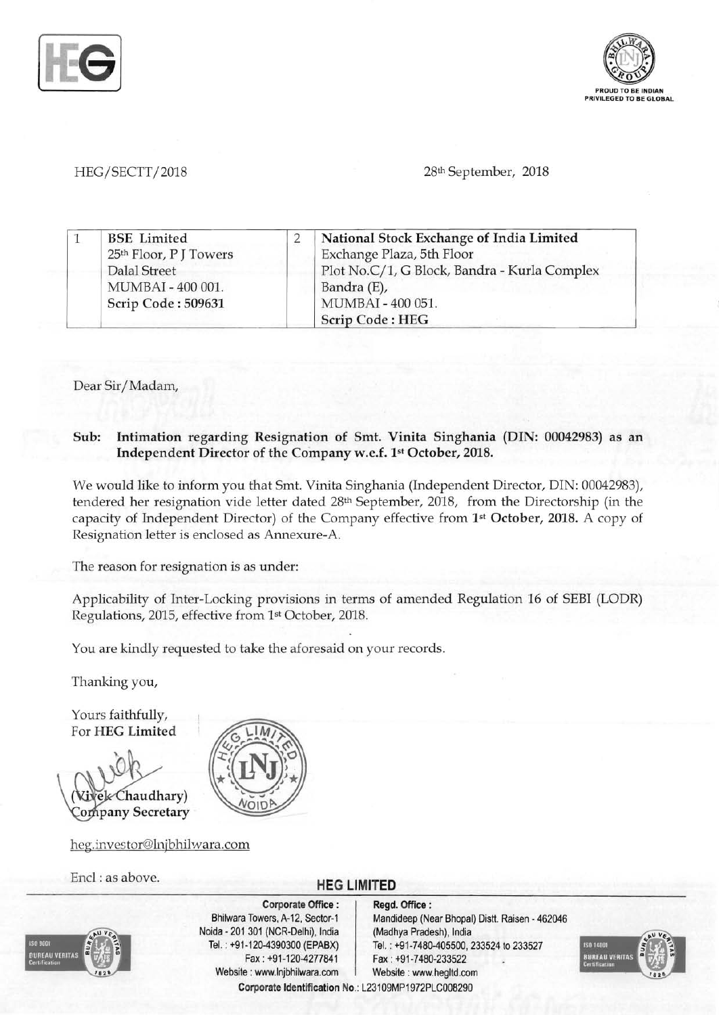



HEG/SECTT/2018 28th September, 2018

|  | <b>BSE</b> Limited                 | National Stock Exchange of India Limited     |
|--|------------------------------------|----------------------------------------------|
|  | 25 <sup>th</sup> Floor, P J Towers | Exchange Plaza, 5th Floor                    |
|  | <b>Dalal Street</b>                | Plot No.C/1, G Block, Bandra - Kurla Complex |
|  | MUMBAI - 400 001.                  | Bandra (E),                                  |
|  | Scrip Code: 509631                 | MUMBAI - 400 051.                            |
|  |                                    | <b>Scrip Code: HEG</b>                       |

Dear Sir/Madam,

## Sub: Intimation regarding Resignation of Smt. Vinita Singhania (DIN: 00042983) as an Independent Director of the Company w.e.f. 1st October, 2018.

We would like to inform you that Smt. Vinita Singhania (Independent Director, DIN: 00042983), tendered her resignation vide letter dated 28th September, 2018, from the Directorship (in the capacity of Independent Director) of the Company effective from 1st October, 2018. A copy of Resignation letter is enclosed as Annexure-A.

The reason for resignation is as under:

Applicability of Inter-Locking provisions in terms of amended Regulation 16 of SEBI (LODR) Regulations, 2015, effective from 1st October, 2018.

You are kindly requested to take the aforesaid on your records.

Thanking you,

Yours faithfully, For HEG Limited

Chaudhary) **Company Secretary** 

heg.investor@lnjbhilwara.com

## Encl : as above. **HEG LIMITED**



Corporate Office: | Regd. Office: Noida 201 301 (NCR-Delhi), India (Madhya Pradesh), India Fax: +91-120-4277841 Fax: +91-7480-233522 Website: www.lnjbhilwara.com | Website: www.hegltd.com

Bhilwara Towers, A-12, Sector-1 Mandideep (Near Bhopal) Distt. Raisen - 462046 Tel. : +91-120-4390300 (EPABX) Tel. : +91-7480-405500, 233524 to 233527 Corporate Identification No.: L23109MP1972PLC008290